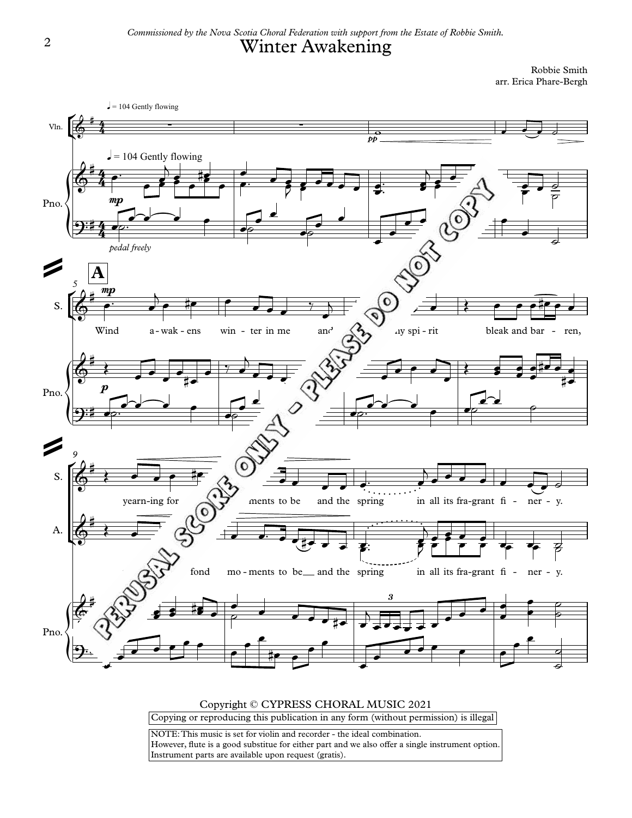## Winter Awakening

Robbie Smith arr. Erica Phare-Bergh



Copyright © CYPRESS CHORAL MUSIC 2021

Copying or reproducing this publication in any form (without permission) is illegal

NOTE: This music is set for violin and recorder - the ideal combination. However, flute is a good substitue for either part and we also offer a single instrument option. Instrument parts are available upon request (gratis).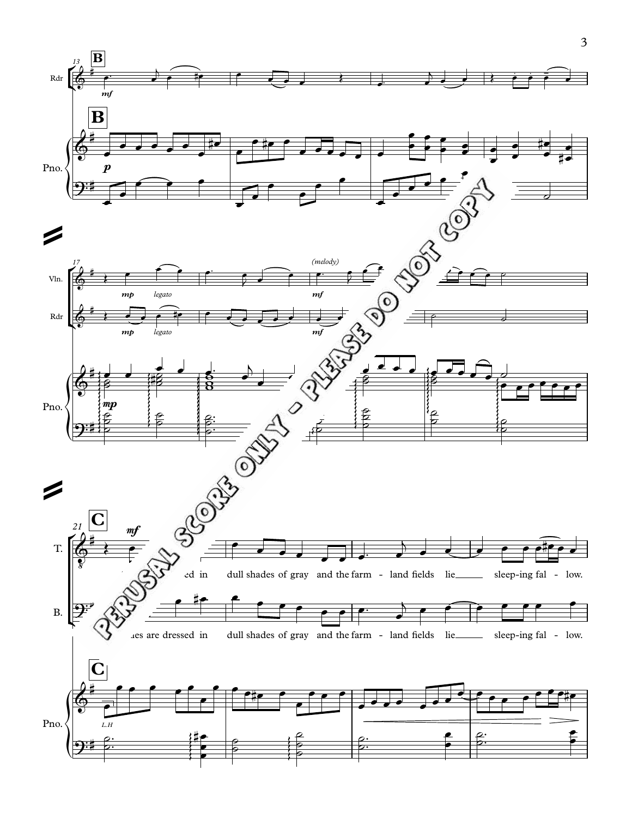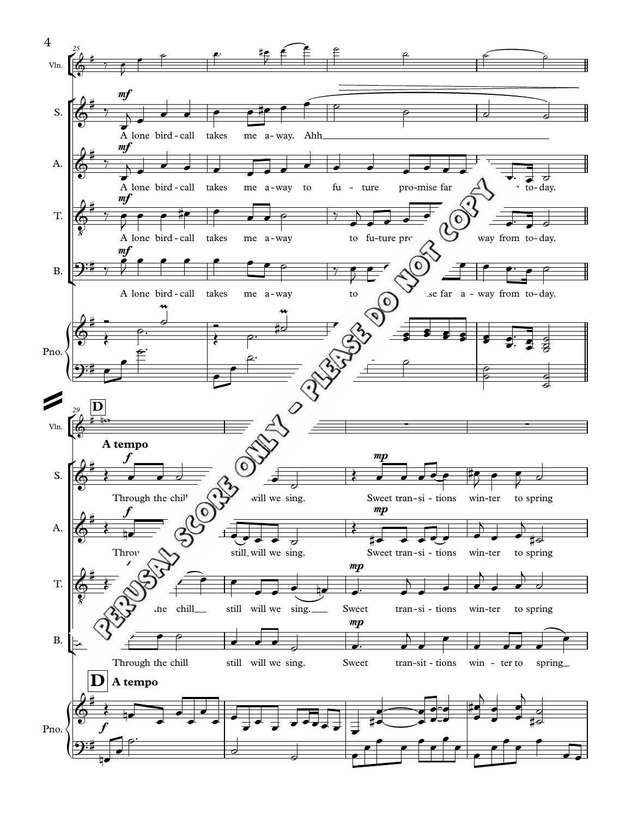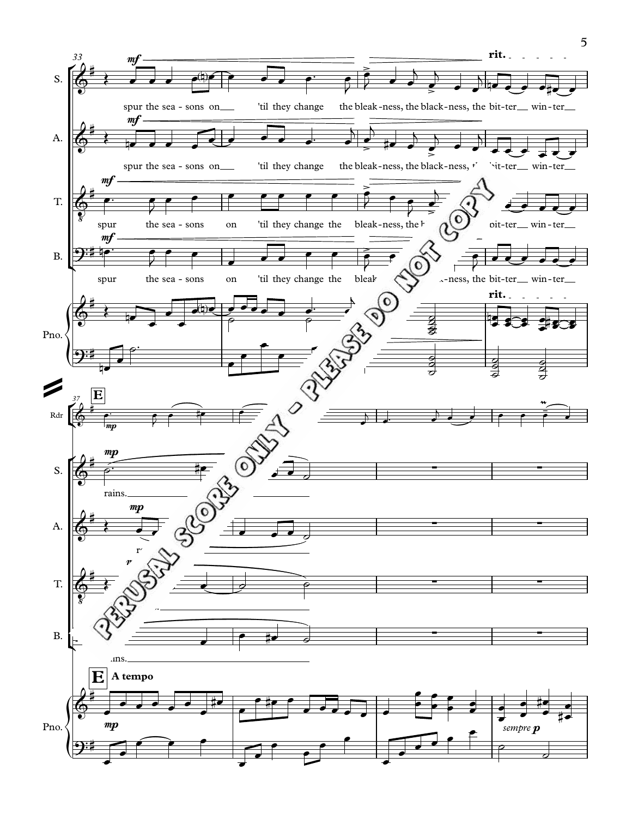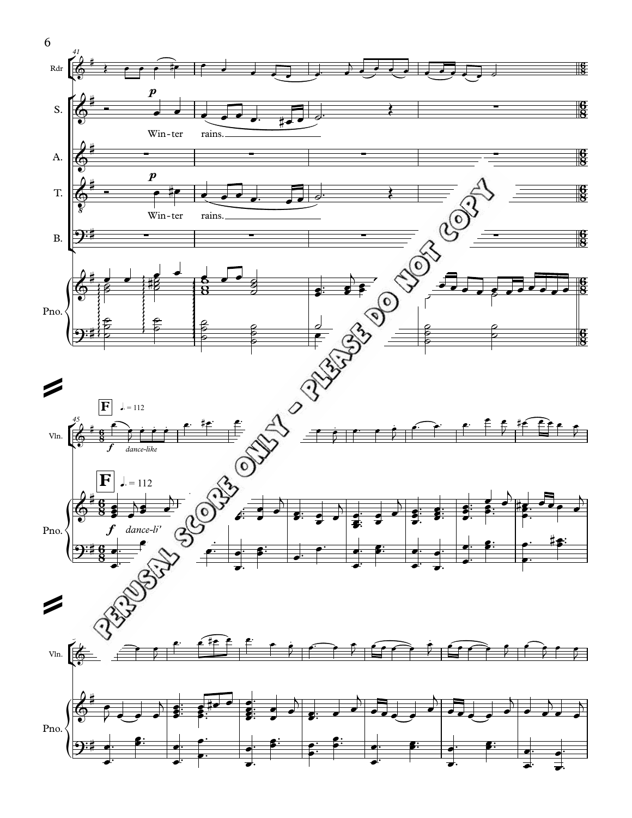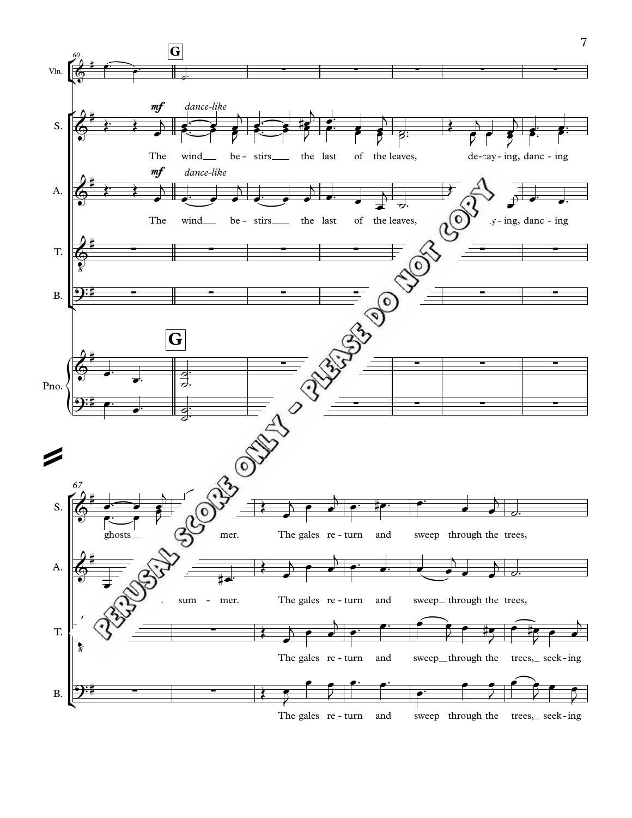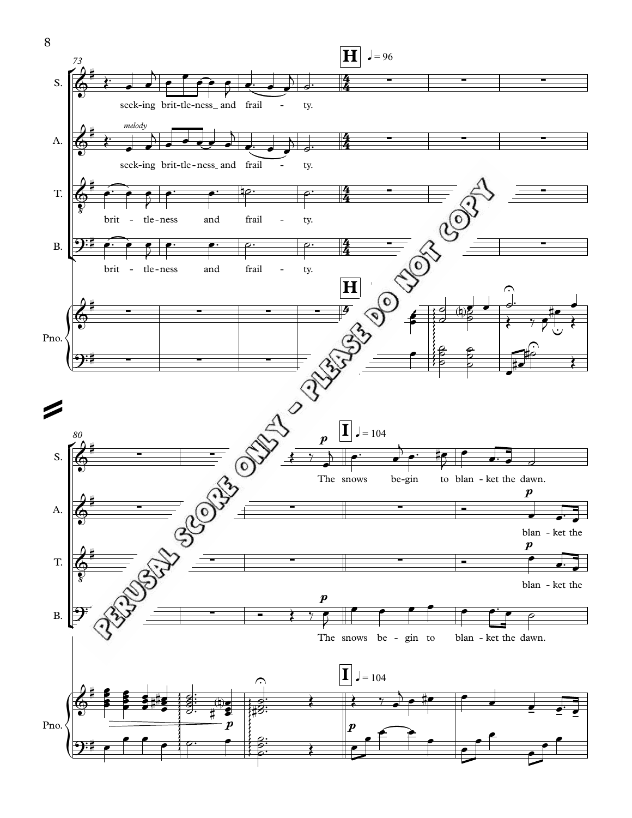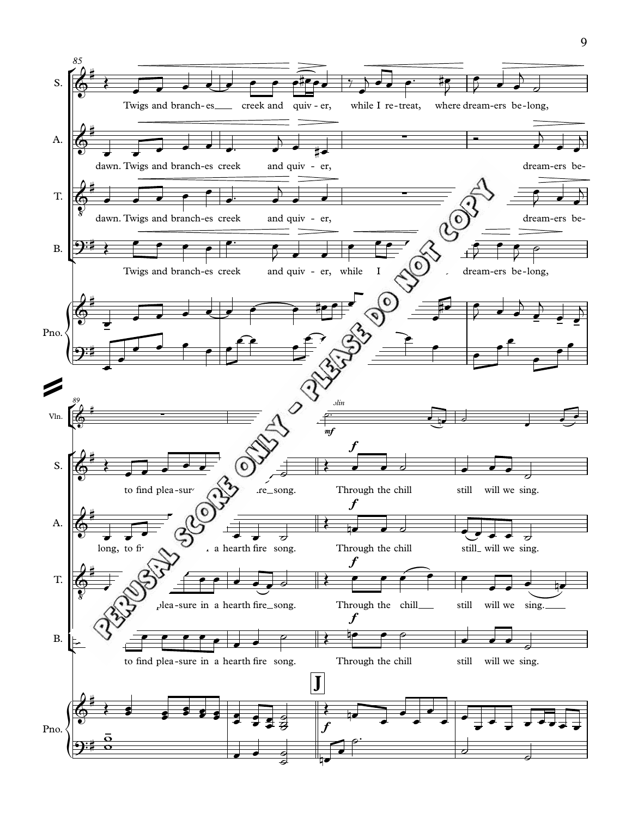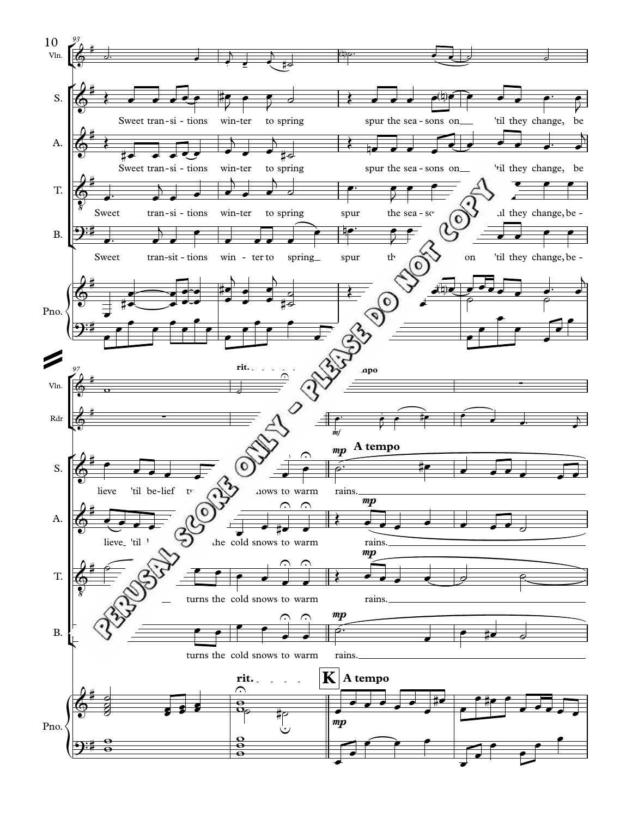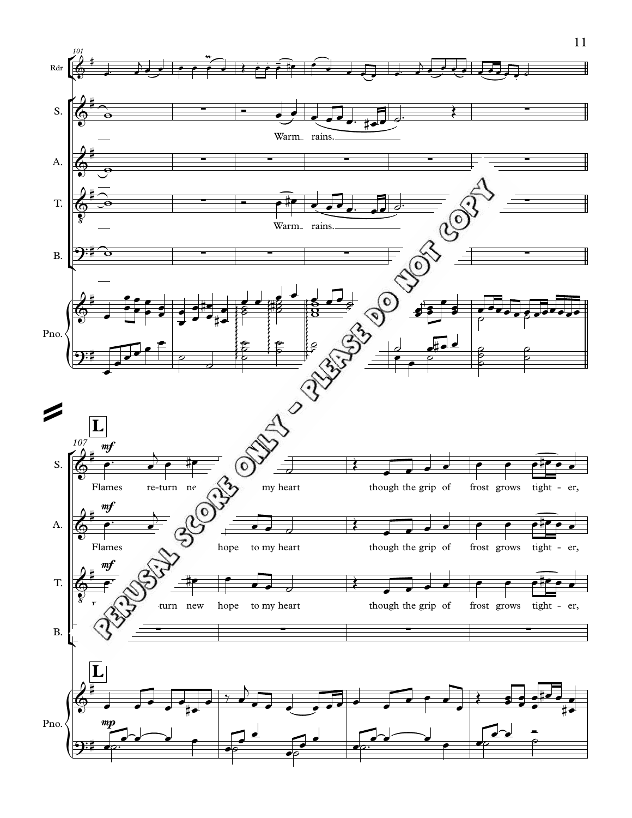